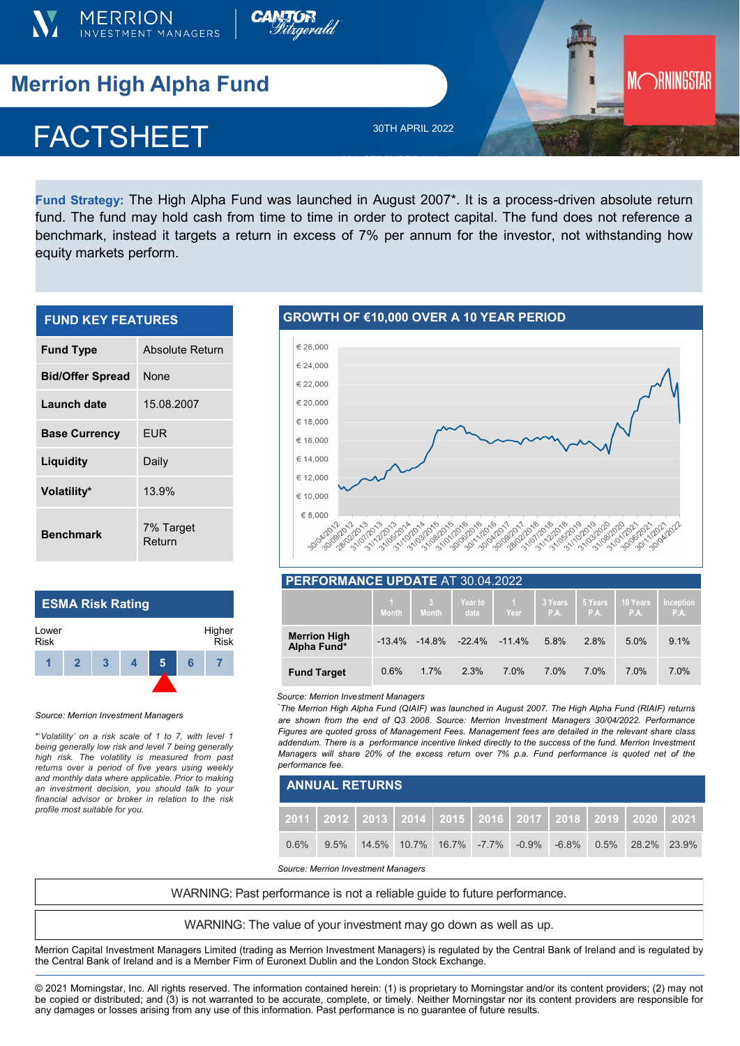



# **Merrion High Alpha Fund**

## **FACTSHEE** FACTSHEET

30TH APRIL 2022

 $\mathbb{R}^n$  ) and  $\mathbb{R}^n$  is the set of  $\mathbb{R}^n$  (see Eq.

**Fund Strategy:** The High Alpha Fund was launched in August 2007\*. It is a process-driven absolute return fund. The fund may hold cash from time to time in order to protect capital. The fund does not reference a benchmark, instead it targets a return in excess of 7% per annum for the investor, not withstanding how equity markets perform.

| <b>FUND KEY FEATURES</b> |                     |  |  |  |  |  |
|--------------------------|---------------------|--|--|--|--|--|
| <b>Fund Type</b>         | Absolute Return     |  |  |  |  |  |
| <b>Bid/Offer Spread</b>  | None                |  |  |  |  |  |
| Launch date              | 15.08.2007          |  |  |  |  |  |
| <b>Base Currency</b>     | EUR                 |  |  |  |  |  |
| Liquidity                | Daily               |  |  |  |  |  |
| Volatility*              | 13.9%               |  |  |  |  |  |
| <b>Benchmark</b>         | 7% Target<br>Return |  |  |  |  |  |

## **ESMA Risk Rating**



#### *Source: Merrion Investment Managers*

\*'*Volatility' on a risk scale of 1 to 7, with level 1 being generally low risk and level 7 being generally high risk. The volatility is measured from past returns over a period of five years using weekly and monthly data where applicable. Prior to making an investment decision, you should talk to your financial advisor or broker in relation to the risk profile most suitable for you.* 

#### € 26.000  $$24,000$ € 22.000 € 20.000 € 18,000 € 16,000  $€ 14000$ € 12,000 € 10.000 1910-101910-11 13021021022 19701-201912-01 23403063011 € 8.000 12031014 31/10/10/11 1010312-1012 14 015 12 31/21/21/31 11 011 012 1911/03/19 1010310911 19108-1011 AI2021 14/2012/11 1 - 18 - 18 - 18 - 19 - 19<br>21 - 17 - 17 - 17 - 18 - 19 - 19<br>- 3 - 3 - 3 - 3 - 3 - 1 2101201 30/09/2012 2-2012-01

**MORNINGSTAR** 

| PERFORMANCE UPDATE AT 30.04.2022   |              |                                |                 |                |                 |                |                  |                   |  |  |
|------------------------------------|--------------|--------------------------------|-----------------|----------------|-----------------|----------------|------------------|-------------------|--|--|
|                                    | <b>Month</b> | 3 <sup>2</sup><br><b>Month</b> | Year to<br>date | $\sim$<br>Year | 3 Years<br>P.A. | 5 Years<br>PA. | 10 Years<br>P.A. | Inception<br>P.A. |  |  |
| <b>Merrion High</b><br>Alpha Fund* |              | $-13.4\% -14.8\% -22.4\%$      |                 | $-114\%$       | 5.8%            | 2.8%           | 5.0%             | 9.1%              |  |  |
| <b>Fund Target</b>                 | 0.6%         | 1.7%                           | 2.3%            | 7.0%           | 7.0%            | 7.0%           | 7.0%             | 7.0%              |  |  |

#### *Source: Merrion Investment Managers*

\* *The Merrion High Alpha Fund (QIAIF) was launched in August 2007. The High Alpha Fund (RIAIF) returns are shown from the end of Q3 2008. Source: Merrion Investment Managers 30/04/2022. Performance Figures are quoted gross of Management Fees. Management fees are detailed in the relevant share class addendum. There is a performance incentive linked directly to the success of the fund. Merrion Investment Managers will share 20% of the excess return over 7% p.a. Fund performance is quoted net of the performance fee.*

| <b>ANNUAL RETURNS</b> |  |  |  |  |  |  |                                                                             |  |  |  |
|-----------------------|--|--|--|--|--|--|-----------------------------------------------------------------------------|--|--|--|
|                       |  |  |  |  |  |  | _2011   2012   2013   2014   2015   2016   2017   2018   2019   2020   2021 |  |  |  |
| 0.6%                  |  |  |  |  |  |  | 9.5% 14.5% 10.7% 16.7% -7.7% -0.9% -6.8% 0.5% 28.2% 23.9%                   |  |  |  |

*Source: Merrion Investment Managers*

WARNING: Past performance is not a reliable guide to future performance.

WARNING: The value of your investment may go down as well as up.

Merrion Capital Investment Managers Limited (trading as Merrion Investment Managers) is regulated by the Central Bank of Ireland and is regulated by the Central Bank of Ireland and is a Member Firm of Euronext Dublin and the London Stock Exchange.

© 2021 Morningstar, Inc. All rights reserved. The information contained herein: (1) is proprietary to Morningstar and/or its content providers; (2) may not be copied or distributed; and (3) is not warranted to be accurate, complete, or timely. Neither Morningstar nor its content providers are responsible for any damages or losses arising from any use of this information. Past performance is no guarantee of future results.

### **GROWTH OF €10,000 OVER A 10 YEAR PERIOD**